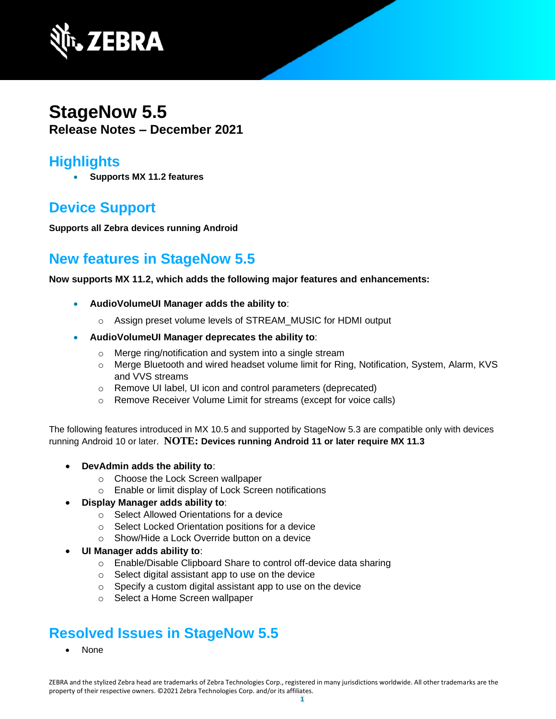

## **StageNow 5.5 Release Notes – December 2021**

### **Highlights**

• **Supports MX 11.2 features**

# **Device Support**

**Supports all Zebra devices running Android**

## **New features in StageNow 5.5**

**Now supports MX 11.2, which adds the following major features and enhancements:**

- **AudioVolumeUI Manager adds the ability to**:
	- o Assign preset volume levels of STREAM\_MUSIC for HDMI output
- **AudioVolumeUI Manager deprecates the ability to**:
	- o Merge ring/notification and system into a single stream
	- o Merge Bluetooth and wired headset volume limit for Ring, Notification, System, Alarm, KVS and VVS streams
	- o Remove UI label, UI icon and control parameters (deprecated)
	- o Remove Receiver Volume Limit for streams (except for voice calls)

The following features introduced in MX 10.5 and supported by StageNow 5.3 are compatible only with devices running Android 10 or later. **NOTE: Devices running Android 11 or later require MX 11.3**

- **DevAdmin adds the ability to**:
	- o Choose the Lock Screen wallpaper
	- o Enable or limit display of Lock Screen notifications

#### • **Display Manager adds ability to**:

- o Select Allowed Orientations for a device
- o Select Locked Orientation positions for a device
- o Show/Hide a Lock Override button on a device
- **UI Manager adds ability to**:
	- o Enable/Disable Clipboard Share to control off-device data sharing
	- o Select digital assistant app to use on the device
	- o Specify a custom digital assistant app to use on the device
	- o Select a Home Screen wallpaper

### **Resolved Issues in StageNow 5.5**

• None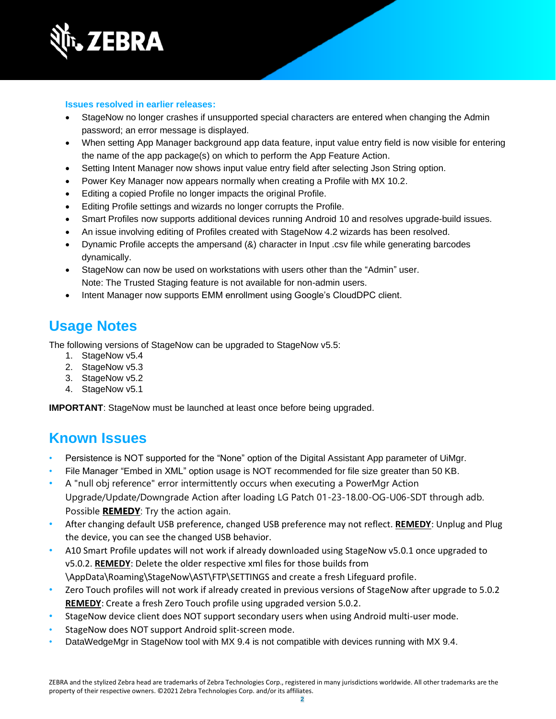

#### **Issues resolved in earlier releases:**

- StageNow no longer crashes if unsupported special characters are entered when changing the Admin password; an error message is displayed.
- When setting App Manager background app data feature, input value entry field is now visible for entering the name of the app package(s) on which to perform the App Feature Action.
- Setting Intent Manager now shows input value entry field after selecting Json String option.
- Power Key Manager now appears normally when creating a Profile with MX 10.2.
- Editing a copied Profile no longer impacts the original Profile.
- Editing Profile settings and wizards no longer corrupts the Profile.
- Smart Profiles now supports additional devices running Android 10 and resolves upgrade-build issues.
- An issue involving editing of Profiles created with StageNow 4.2 wizards has been resolved.
- Dynamic Profile accepts the ampersand (&) character in Input .csv file while generating barcodes dynamically.
- StageNow can now be used on workstations with users other than the "Admin" user. Note: The Trusted Staging feature is not available for non-admin users.
- Intent Manager now supports EMM enrollment using Google's CloudDPC client.

### **Usage Notes**

The following versions of StageNow can be upgraded to StageNow v5.5:

- 1. StageNow v5.4
- 2. StageNow v5.3
- 3. StageNow v5.2
- 4. StageNow v5.1

**IMPORTANT**: StageNow must be launched at least once before being upgraded.

### **Known Issues**

- Persistence is NOT supported for the "None" option of the Digital Assistant App parameter of UiMgr.
- File Manager "Embed in XML" option usage is NOT recommended for file size greater than 50 KB.
- A "null obj reference" error intermittently occurs when executing a PowerMgr Action Upgrade/Update/Downgrade Action after loading LG Patch 01-23-18.00-OG-U06-SDT through adb. Possible **REMEDY**: Try the action again.
- After changing default USB preference, changed USB preference may not reflect. **REMEDY**: Unplug and Plug the device, you can see the changed USB behavior.
- A10 Smart Profile updates will not work if already downloaded using StageNow v5.0.1 once upgraded to v5.0.2. **REMEDY**: Delete the older respective xml files for those builds from \AppData\Roaming\StageNow\AST\FTP\SETTINGS and create a fresh Lifeguard profile.
- Zero Touch profiles will not work if already created in previous versions of StageNow after upgrade to 5.0.2 **REMEDY**: Create a fresh Zero Touch profile using upgraded version 5.0.2.
- StageNow device client does NOT support secondary users when using Android multi-user mode.
- StageNow does NOT support Android split-screen mode.
- DataWedgeMgr in StageNow tool with MX 9.4 is not compatible with devices running with MX 9.4.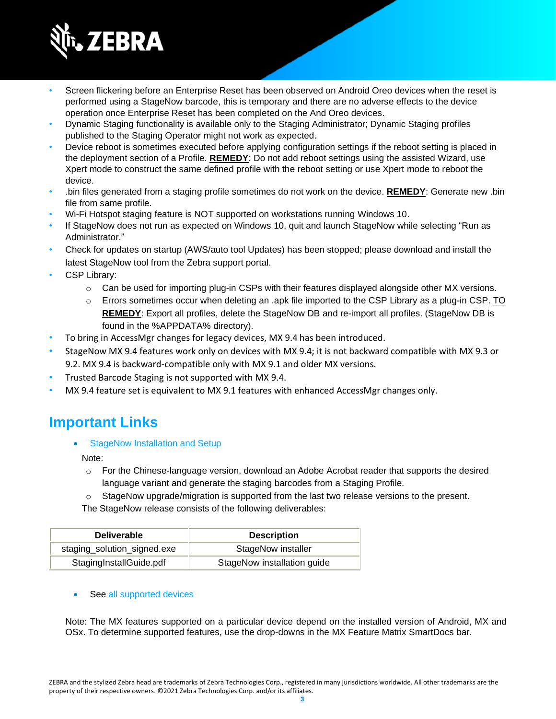

- Screen flickering before an Enterprise Reset has been observed on Android Oreo devices when the reset is performed using a StageNow barcode, this is temporary and there are no adverse effects to the device operation once Enterprise Reset has been completed on the And Oreo devices.
- Dynamic Staging functionality is available only to the Staging Administrator; Dynamic Staging profiles published to the Staging Operator might not work as expected.
- Device reboot is sometimes executed before applying configuration settings if the reboot setting is placed in the deployment section of a Profile. **REMEDY**: Do not add reboot settings using the assisted Wizard, use Xpert mode to construct the same defined profile with the reboot setting or use Xpert mode to reboot the device.
- .bin files generated from a staging profile sometimes do not work on the device. **REMEDY**: Generate new .bin file from same profile.
- Wi-Fi Hotspot staging feature is NOT supported on workstations running Windows 10.
- If StageNow does not run as expected on Windows 10, quit and launch StageNow while selecting "Run as Administrator."
- Check for updates on startup (AWS/auto tool Updates) has been stopped; please download and install the latest StageNow tool from the Zebra support portal.
- CSP Library:
	- $\circ$  Can be used for importing plug-in CSPs with their features displayed alongside other MX versions.
	- $\circ$  Errors sometimes occur when deleting an .apk file imported to the CSP Library as a plug-in CSP. TO **REMEDY**: Export all profiles, delete the StageNow DB and re-import all profiles. (StageNow DB is found in the %APPDATA% directory).
- To bring in AccessMgr changes for legacy devices, MX 9.4 has been introduced.
- StageNow MX 9.4 features work only on devices with MX 9.4; it is not backward compatible with MX 9.3 or 9.2. MX 9.4 is backward-compatible only with MX 9.1 and older MX versions.
- Trusted Barcode Staging is not supported with MX 9.4.
- MX 9.4 feature set is equivalent to MX 9.1 features with enhanced AccessMgr changes only.

### **Important Link[s](http://techdocs.zebra.com/stagenow/)**

[StageNow Installation and Setup](http://techdocs.zebra.com/stagenow/latest/installing/)

Note:

- $\circ$  For the Chinese-language version, download an Adobe Acrobat reader that supports the desired language variant and generate the staging barcodes from a Staging Profile.
- StageNow upgrade/migration is supported from the last two release versions to the present.

The StageNow release consists of the following deliverables:

| <b>Deliverable</b>          | <b>Description</b>          |
|-----------------------------|-----------------------------|
| staging_solution_signed.exe | StageNow installer          |
| StagingInstallGuide.pdf     | StageNow installation guide |

#### See [all supported devices](http://techdocs.zebra.com/stagenow/)

Note: The MX features supported on a particular device depend on the installed version of Android, MX and OSx. To determine supported features, use the drop-downs in the [MX Feature Matrix](http://techdocs.zebra.com/mx/compatibility/) SmartDocs bar.